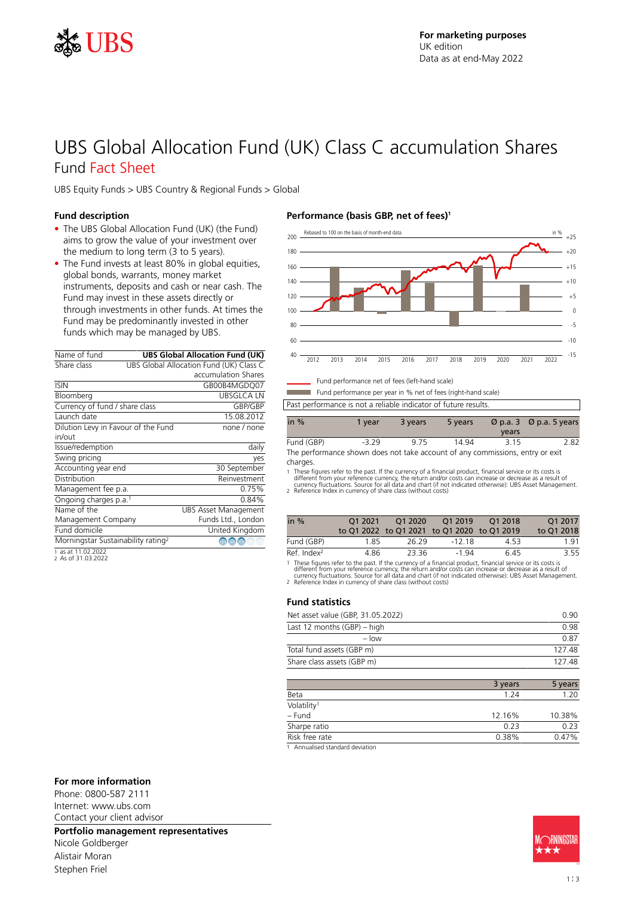

## UBS Global Allocation Fund (UK) Class C accumulation Shares Fund Fact Sheet

UBS Equity Funds > UBS Country & Regional Funds > Global

### **Fund description**

- The UBS Global Allocation Fund (UK) (the Fund) aims to grow the value of your investment over the medium to long term (3 to 5 years).
- The Fund invests at least 80% in global equities, global bonds, warrants, money market instruments, deposits and cash or near cash. The Fund may invest in these assets directly or through investments in other funds. At times the Fund may be predominantly invested in other funds which may be managed by UBS.

| Name of fund                                   | <b>UBS Global Allocation Fund (UK)</b>  |
|------------------------------------------------|-----------------------------------------|
| Share class                                    | UBS Global Allocation Fund (UK) Class C |
|                                                | accumulation Shares                     |
| <b>ISIN</b>                                    | GB00B4MGDQ07                            |
| Bloomberg                                      | <b>UBSGLCALN</b>                        |
| Currency of fund / share class                 | GBP/GBP                                 |
| Launch date                                    | 15.08.2012                              |
| Dilution Levy in Favour of the Fund            | none / none                             |
| in/out                                         |                                         |
| Issue/redemption                               | daily                                   |
| Swing pricing                                  | yes                                     |
| Accounting year end                            | 30 September                            |
| Distribution                                   | Reinvestment                            |
| Management fee p.a.                            | 0.75%                                   |
| Ongoing charges p.a. <sup>1</sup>              | 0.84%                                   |
| Name of the                                    | <b>UBS Asset Management</b>             |
| Management Company                             | Funds Ltd., London                      |
| Fund domicile                                  | United Kingdom                          |
| Morningstar Sustainability rating <sup>2</sup> | (用)(用)                                  |
| $1 - 1110000000$                               |                                         |

1 as at 11.02.2022 2 As of 31.03.2022

## **Performance (basis GBP, net of fees)<sup>1</sup>**



Fund performance net of fees (left-hand scale) Fund performance per year in % net of fees (right-hand scale)

Past performance is not a reliable indicator of future results.

| in $%$                                                                         | 1 vear | 3 years | 5 years |       | $\varnothing$ p.a. 3 $\varnothing$ p.a. 5 years |
|--------------------------------------------------------------------------------|--------|---------|---------|-------|-------------------------------------------------|
|                                                                                |        |         |         | vears |                                                 |
| Fund (GBP)                                                                     | -3.29  | 975     | 14 94   | 315   | 2.82                                            |
| The performance shown does not take account of any commissions, entry or exit. |        |         |         |       |                                                 |

The performance shown does not take account of any commissions, entry or  $\epsilon$ charges.

1 These figures refer to the past. If the currency of a financial product, financial service or its costs is<br>different from your reference currency, the return and/or costs can increase or decrease as a result of<br>currency

| in $%$                  | 01 2021                                   | O1 2020<br>to Q1 2022 to Q1 2021 to Q1 2020 to Q1 2019 | O1 2019 | 01 2018 | O1 2017<br>to 01 2018 |
|-------------------------|-------------------------------------------|--------------------------------------------------------|---------|---------|-----------------------|
| Fund (GBP)              | 1.85                                      | 26.29                                                  | -12 18  | 4.53    | 191                   |
| Ref. Index <sup>2</sup> | 4.86                                      | 23.36                                                  | $-194$  | 645     | 3.55                  |
|                         | $\sim$ $\sim$ $\sim$ $\sim$ $\sim$ $\sim$ |                                                        |         |         |                       |

1 These figures refer to the past. If the currency of a financial product, financial service or its costs is<br>different from your reference currency, the return and/or costs can increase or decrease as a result of<br>currency

#### **Fund statistics**

| Net asset value (GBP, 31.05.2022) | O 90  |
|-----------------------------------|-------|
| Last 12 months $(GBP)$ – high     | O 98  |
| $-$ low                           | 0.87  |
| Total fund assets (GBP m)         | 12748 |
| Share class assets (GBP m)        | 12748 |
|                                   |       |

|                                                       | 3 years | 5 years |
|-------------------------------------------------------|---------|---------|
| Beta                                                  | 1.24    | 1.20    |
| Volatility <sup>1</sup>                               |         |         |
| – Fund                                                | 12.16%  | 10.38%  |
| Sharpe ratio                                          | 0.23    | 0.23    |
| Risk free rate                                        | 0.38%   | 0.47%   |
| a complete the collection of contract of contracts on |         |         |

1 Annualised standard deviation

#### **For more information**

Phone: 0800-587 2111 Internet: www.ubs.com Contact your client advisor

**Portfolio management representatives**

Nicole Goldberger Alistair Moran Stephen Friel

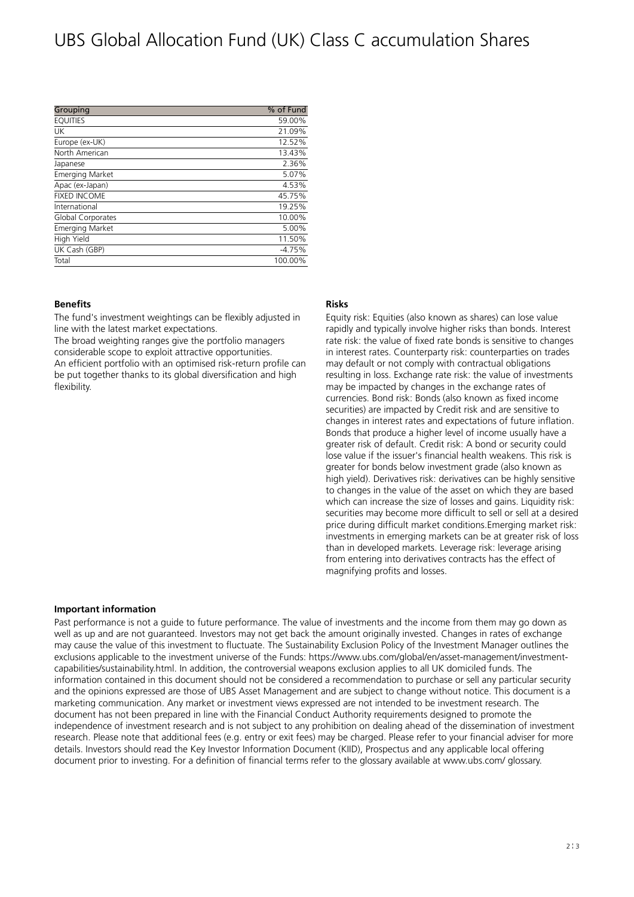# UBS Global Allocation Fund (UK) Class C accumulation Shares

| Grouping               | % of Fund |
|------------------------|-----------|
| <b>EQUITIES</b>        | 59.00%    |
| UK                     | 21.09%    |
| Europe (ex-UK)         | 12.52%    |
| North American         | 13.43%    |
| Japanese               | 2.36%     |
| Emerging Market        | 5.07%     |
| Apac (ex-Japan)        | 4.53%     |
| <b>FIXED INCOME</b>    | 45.75%    |
| International          | 19.25%    |
| Global Corporates      | 10.00%    |
| <b>Emerging Market</b> | 5.00%     |
| High Yield             | 11.50%    |
| UK Cash (GBP)          | $-4.75%$  |
| Total                  | 100.00%   |

#### **Benefits**

The fund's investment weightings can be flexibly adjusted in line with the latest market expectations.

The broad weighting ranges give the portfolio managers considerable scope to exploit attractive opportunities. An efficient portfolio with an optimised risk-return profile can be put together thanks to its global diversification and high flexibility.

#### **Risks**

Equity risk: Equities (also known as shares) can lose value rapidly and typically involve higher risks than bonds. Interest rate risk: the value of fixed rate bonds is sensitive to changes in interest rates. Counterparty risk: counterparties on trades may default or not comply with contractual obligations resulting in loss. Exchange rate risk: the value of investments may be impacted by changes in the exchange rates of currencies. Bond risk: Bonds (also known as fixed income securities) are impacted by Credit risk and are sensitive to changes in interest rates and expectations of future inflation. Bonds that produce a higher level of income usually have a greater risk of default. Credit risk: A bond or security could lose value if the issuer's financial health weakens. This risk is greater for bonds below investment grade (also known as high yield). Derivatives risk: derivatives can be highly sensitive to changes in the value of the asset on which they are based which can increase the size of losses and gains. Liquidity risk: securities may become more difficult to sell or sell at a desired price during difficult market conditions.Emerging market risk: investments in emerging markets can be at greater risk of loss than in developed markets. Leverage risk: leverage arising from entering into derivatives contracts has the effect of magnifying profits and losses.

#### **Important information**

Past performance is not a guide to future performance. The value of investments and the income from them may go down as well as up and are not guaranteed. Investors may not get back the amount originally invested. Changes in rates of exchange may cause the value of this investment to fluctuate. The Sustainability Exclusion Policy of the Investment Manager outlines the exclusions applicable to the investment universe of the Funds: https://www.ubs.com/global/en/asset-management/investmentcapabilities/sustainability.html. In addition, the controversial weapons exclusion applies to all UK domiciled funds. The information contained in this document should not be considered a recommendation to purchase or sell any particular security and the opinions expressed are those of UBS Asset Management and are subject to change without notice. This document is a marketing communication. Any market or investment views expressed are not intended to be investment research. The document has not been prepared in line with the Financial Conduct Authority requirements designed to promote the independence of investment research and is not subject to any prohibition on dealing ahead of the dissemination of investment research. Please note that additional fees (e.g. entry or exit fees) may be charged. Please refer to your financial adviser for more details. Investors should read the Key Investor Information Document (KIID), Prospectus and any applicable local offering document prior to investing. For a definition of financial terms refer to the glossary available at www.ubs.com/ glossary.